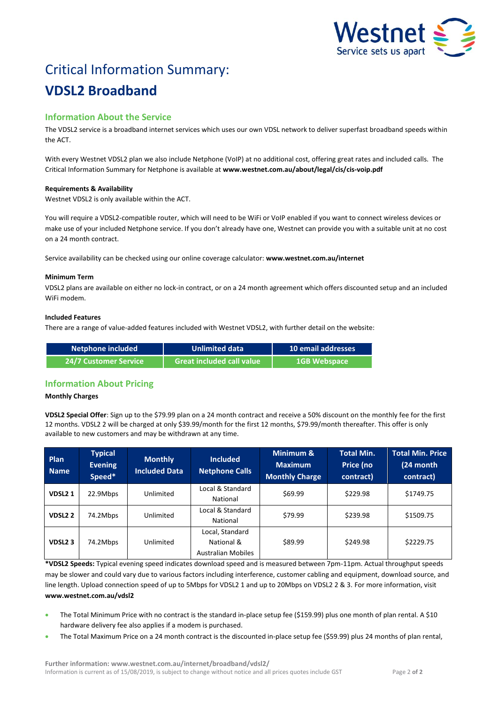

# Critical Information Summary: **VDSL2 Broadband**

# **Information About the Service**

The VDSL2 service is a broadband internet services which uses our own VDSL network to deliver superfast broadband speeds within the ACT.

With every Westnet VDSL2 plan we also include Netphone (VoIP) at no additional cost, offering great rates and included calls. The Critical Information Summary for Netphone is available at **www.westnet.com.au/about/legal/cis/cis-voip.pdf**

# **Requirements & Availability**

Westnet VDSL2 is only available within the ACT.

You will require a VDSL2-compatible router, which will need to be WiFi or VoIP enabled if you want to connect wireless devices or make use of your included Netphone service. If you don't already have one, Westnet can provide you with a suitable unit at no cost on a 24 month contract.

Service availability can be checked using our online coverage calculator: **www.westnet.com.au/internet**

## **Minimum Term**

VDSL2 plans are available on either no lock-in contract, or on a 24 month agreement which offers discounted setup and an included WiFi modem.

## **Included Features**

There are a range of value-added features included with Westnet VDSL2, with further detail on the website:

| Netphone included     | <b>Unlimited data</b>         | 10 email addresses  |  |
|-----------------------|-------------------------------|---------------------|--|
| 24/7 Customer Service | l Great included call value ' | <b>1GB Webspace</b> |  |

# **Information About Pricing**

#### **Monthly Charges**

**VDSL2 Special Offer**: Sign up to the \$79.99 plan on a 24 month contract and receive a 50% discount on the monthly fee for the first 12 months. VDSL2 2 will be charged at only \$39.99/month for the first 12 months, \$79.99/month thereafter. This offer is only available to new customers and may be withdrawn at any time.

| Plan<br><b>Name</b> | <b>Typical</b><br><b>Evening</b><br>Speed* | <b>Monthly</b><br><b>Included Data</b> | <b>Included</b><br><b>Netphone Calls</b>                   | Minimum &<br><b>Maximum</b><br><b>Monthly Charge</b> | <b>Total Min.</b><br>Price (no<br>contract) | <b>Total Min. Price</b><br>(24 month<br>contract) |
|---------------------|--------------------------------------------|----------------------------------------|------------------------------------------------------------|------------------------------------------------------|---------------------------------------------|---------------------------------------------------|
| VDSL <sub>21</sub>  | 22.9Mbps                                   | Unlimited                              | Local & Standard<br>National                               | \$69.99                                              | \$229.98                                    | \$1749.75                                         |
| <b>VDSL22</b>       | 74.2Mbps                                   | Unlimited                              | Local & Standard<br>National                               | \$79.99                                              | \$239.98                                    | \$1509.75                                         |
| VDSL <sub>2</sub> 3 | 74.2Mbps                                   | Unlimited                              | Local, Standard<br>National &<br><b>Australian Mobiles</b> | \$89.99                                              | \$249.98                                    | \$2229.75                                         |

**\*VDSL2 Speeds:** Typical evening speed indicates download speed and is measured between 7pm-11pm. Actual throughput speeds may be slower and could vary due to various factors including interference, customer cabling and equipment, download source, and line length. Upload connection speed of up to 5Mbps for VDSL2 1 and up to 20Mbps on VDSL2 2 & 3. For more information, visit **www.westnet.com.au/vdsl2**

- The Total Minimum Price with no contract is the standard in-place setup fee (\$159.99) plus one month of plan rental. A \$10 hardware delivery fee also applies if a modem is purchased.
- The Total Maximum Price on a 24 month contract is the discounted in-place setup fee (\$59.99) plus 24 months of plan rental,